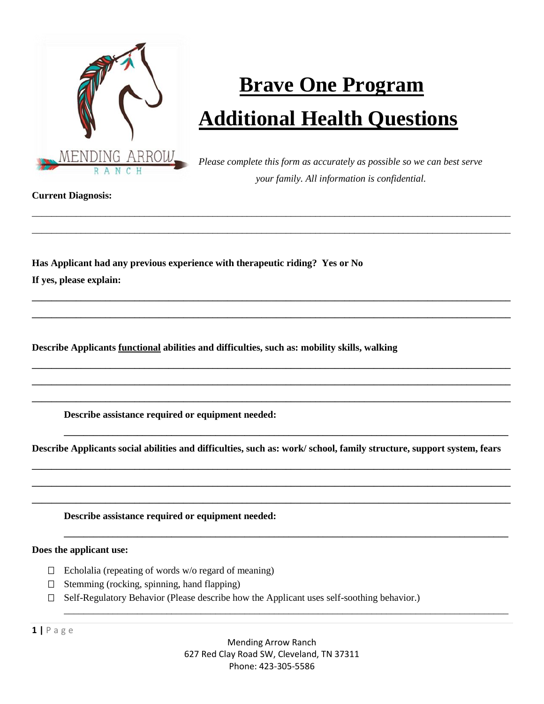

## **Brave One Program Additional Health Questions**

*Please complete this form as accurately as possible so we can best serve your family. All information is confidential.*

**Current Diagnosis:**

**Has Applicant had any previous experience with therapeutic riding? Yes or No If yes, please explain:** 

**Describe Applicants functional abilities and difficulties, such as: mobility skills, walking** 

**Describe assistance required or equipment needed:** 

**Describe Applicants social abilities and difficulties, such as: work/ school, family structure, support system, fears**

**\_\_\_\_\_\_\_\_\_\_\_\_\_\_\_\_\_\_\_\_\_\_\_\_\_\_\_\_\_\_\_\_\_\_\_\_\_\_\_\_\_\_\_\_\_\_\_\_\_\_\_\_\_\_\_\_\_\_\_\_\_\_\_\_\_\_\_\_\_\_\_\_\_\_\_\_\_\_\_\_\_\_\_\_\_\_\_\_\_\_\_\_\_\_\_\_\_\_ \_\_\_\_\_\_\_\_\_\_\_\_\_\_\_\_\_\_\_\_\_\_\_\_\_\_\_\_\_\_\_\_\_\_\_\_\_\_\_\_\_\_\_\_\_\_\_\_\_\_\_\_\_\_\_\_\_\_\_\_\_\_\_\_\_\_\_\_\_\_\_\_\_\_\_\_\_\_\_\_\_\_\_\_\_\_\_\_\_\_\_\_\_\_\_\_\_\_ \_\_\_\_\_\_\_\_\_\_\_\_\_\_\_\_\_\_\_\_\_\_\_\_\_\_\_\_\_\_\_\_\_\_\_\_\_\_\_\_\_\_\_\_\_\_\_\_\_\_\_\_\_\_\_\_\_\_\_\_\_\_\_\_\_\_\_\_\_\_\_\_\_\_\_\_\_\_\_\_\_\_\_\_\_\_\_\_\_\_\_\_\_\_\_\_\_\_**

**\_\_\_\_\_\_\_\_\_\_\_\_\_\_\_\_\_\_\_\_\_\_\_\_\_\_\_\_\_\_\_\_\_\_\_\_\_\_\_\_\_\_\_\_\_\_\_\_\_\_\_\_\_\_\_\_\_\_\_\_\_\_\_\_\_\_\_\_\_\_\_\_\_\_\_\_\_\_\_\_\_\_\_\_\_\_\_\_\_\_\_**

**\_\_\_\_\_\_\_\_\_\_\_\_\_\_\_\_\_\_\_\_\_\_\_\_\_\_\_\_\_\_\_\_\_\_\_\_\_\_\_\_\_\_\_\_\_\_\_\_\_\_\_\_\_\_\_\_\_\_\_\_\_\_\_\_\_\_\_\_\_\_\_\_\_\_\_\_\_\_\_\_\_\_\_\_\_\_\_\_\_\_\_**

\_\_\_\_\_\_\_\_\_\_\_\_\_\_\_\_\_\_\_\_\_\_\_\_\_\_\_\_\_\_\_\_\_\_\_\_\_\_\_\_\_\_\_\_\_\_\_\_\_\_\_\_\_\_\_\_\_\_\_\_\_\_\_\_\_\_\_\_\_\_\_\_\_\_\_\_\_\_\_\_\_\_\_\_\_\_\_\_\_\_\_

\_\_\_\_\_\_\_\_\_\_\_\_\_\_\_\_\_\_\_\_\_\_\_\_\_\_\_\_\_\_\_\_\_\_\_\_\_\_\_\_\_\_\_\_\_\_\_\_\_\_\_\_\_\_\_\_\_\_\_\_\_\_\_\_\_\_\_\_\_\_\_\_\_\_\_\_\_\_\_\_\_\_\_\_\_\_\_\_\_\_\_\_\_\_\_\_\_\_ \_\_\_\_\_\_\_\_\_\_\_\_\_\_\_\_\_\_\_\_\_\_\_\_\_\_\_\_\_\_\_\_\_\_\_\_\_\_\_\_\_\_\_\_\_\_\_\_\_\_\_\_\_\_\_\_\_\_\_\_\_\_\_\_\_\_\_\_\_\_\_\_\_\_\_\_\_\_\_\_\_\_\_\_\_\_\_\_\_\_\_\_\_\_\_\_\_\_

**\_\_\_\_\_\_\_\_\_\_\_\_\_\_\_\_\_\_\_\_\_\_\_\_\_\_\_\_\_\_\_\_\_\_\_\_\_\_\_\_\_\_\_\_\_\_\_\_\_\_\_\_\_\_\_\_\_\_\_\_\_\_\_\_\_\_\_\_\_\_\_\_\_\_\_\_\_\_\_\_\_\_\_\_\_\_\_\_\_\_\_\_\_\_\_\_\_\_ \_\_\_\_\_\_\_\_\_\_\_\_\_\_\_\_\_\_\_\_\_\_\_\_\_\_\_\_\_\_\_\_\_\_\_\_\_\_\_\_\_\_\_\_\_\_\_\_\_\_\_\_\_\_\_\_\_\_\_\_\_\_\_\_\_\_\_\_\_\_\_\_\_\_\_\_\_\_\_\_\_\_\_\_\_\_\_\_\_\_\_\_\_\_\_\_\_\_**

**\_\_\_\_\_\_\_\_\_\_\_\_\_\_\_\_\_\_\_\_\_\_\_\_\_\_\_\_\_\_\_\_\_\_\_\_\_\_\_\_\_\_\_\_\_\_\_\_\_\_\_\_\_\_\_\_\_\_\_\_\_\_\_\_\_\_\_\_\_\_\_\_\_\_\_\_\_\_\_\_\_\_\_\_\_\_\_\_\_\_\_\_\_\_\_\_\_\_ \_\_\_\_\_\_\_\_\_\_\_\_\_\_\_\_\_\_\_\_\_\_\_\_\_\_\_\_\_\_\_\_\_\_\_\_\_\_\_\_\_\_\_\_\_\_\_\_\_\_\_\_\_\_\_\_\_\_\_\_\_\_\_\_\_\_\_\_\_\_\_\_\_\_\_\_\_\_\_\_\_\_\_\_\_\_\_\_\_\_\_\_\_\_\_\_\_\_ \_\_\_\_\_\_\_\_\_\_\_\_\_\_\_\_\_\_\_\_\_\_\_\_\_\_\_\_\_\_\_\_\_\_\_\_\_\_\_\_\_\_\_\_\_\_\_\_\_\_\_\_\_\_\_\_\_\_\_\_\_\_\_\_\_\_\_\_\_\_\_\_\_\_\_\_\_\_\_\_\_\_\_\_\_\_\_\_\_\_\_\_\_\_\_\_\_\_**

**Describe assistance required or equipment needed:** 

**Does the applicant use:**

- $\Box$  Echolalia (repeating of words w/o regard of meaning)
- $\Box$  Stemming (rocking, spinning, hand flapping)
- Self-Regulatory Behavior (Please describe how the Applicant uses self-soothing behavior.)

**1 |** P a g e

Mending Arrow Ranch 627 Red Clay Road SW, Cleveland, TN 37311 Phone: 423-305-5586